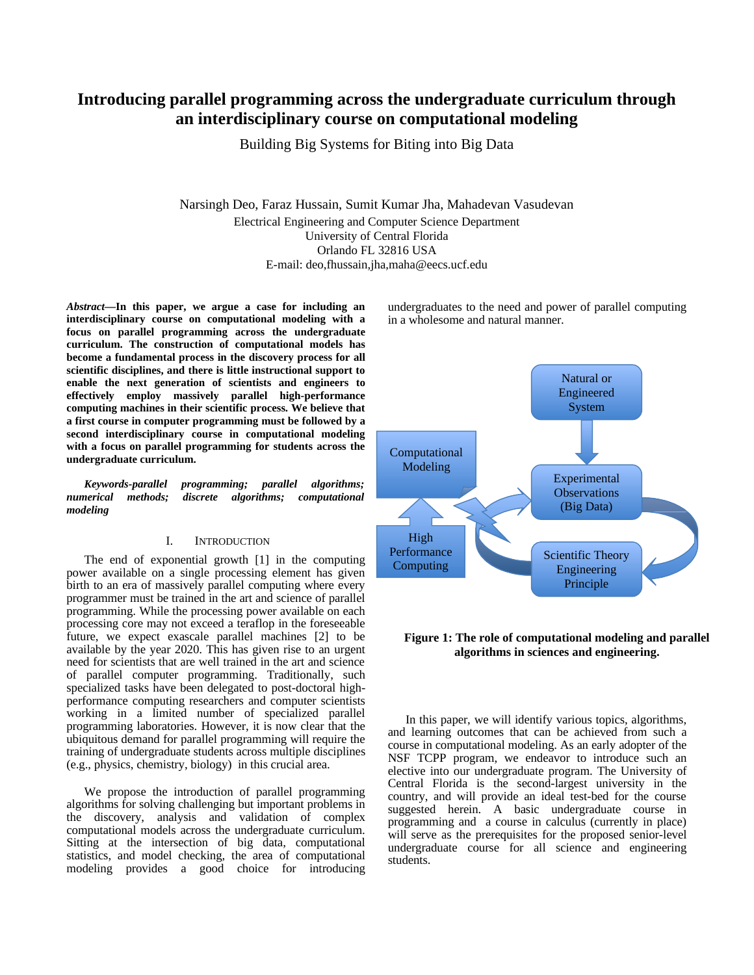# **Introducing parallel programming across the undergraduate curriculum through an interdisciplinary course on computational modeling**

Building Big Systems for Biting into Big Data

Narsingh Deo, Faraz Hussain, Sumit Kumar Jha, Mahadevan Vasudevan Electrical Engineering and Computer Science Department University of Central Florida Orlando FL 32816 USA E-mail: deo,fhussain,jha,maha@eecs.ucf.edu

*Abstract***—In this paper, we argue a case for including an interdisciplinary course on computational modeling with a focus on parallel programming across the undergraduate curriculum. The construction of computational models has become a fundamental process in the discovery process for all scientific disciplines, and there is little instructional support to enable the next generation of scientists and engineers to effectively employ massively parallel high-performance computing machines in their scientific process. We believe that a first course in computer programming must be followed by a second interdisciplinary course in computational modeling with a focus on parallel programming for students across the undergraduate curriculum.**

*Keywords-parallel programming; parallel algorithms; numerical methods; discrete algorithms; computational modeling* 

## I. INTRODUCTION

The end of exponential growth [1] in the computing power available on a single processing element has given birth to an era of massively parallel computing where every programmer must be trained in the art and science of parallel programming. While the processing power available on each processing core may not exceed a teraflop in the foreseeable future, we expect exascale parallel machines [2] to be available by the year 2020. This has given rise to an urgent need for scientists that are well trained in the art and science of parallel computer programming. Traditionally, such specialized tasks have been delegated to post-doctoral highperformance computing researchers and computer scientists working in a limited number of specialized parallel programming laboratories. However, it is now clear that the ubiquitous demand for parallel programming will require the training of undergraduate students across multiple disciplines (e.g., physics, chemistry, biology) in this crucial area.

We propose the introduction of parallel programming algorithms for solving challenging but important problems in the discovery, analysis and validation of complex computational models across the undergraduate curriculum. Sitting at the intersection of big data, computational statistics, and model checking, the area of computational modeling provides a good choice for introducing

undergraduates to the need and power of parallel computing in a wholesome and natural manner.



## **Figure 1: The role of computational modeling and parallel algorithms in sciences and engineering.**

In this paper, we will identify various topics, algorithms, and learning outcomes that can be achieved from such a course in computational modeling. As an early adopter of the NSF TCPP program, we endeavor to introduce such an elective into our undergraduate program. The University of Central Florida is the second-largest university in the country, and will provide an ideal test-bed for the course suggested herein. A basic undergraduate course in programming and a course in calculus (currently in place) will serve as the prerequisites for the proposed senior-level undergraduate course for all science and engineering students.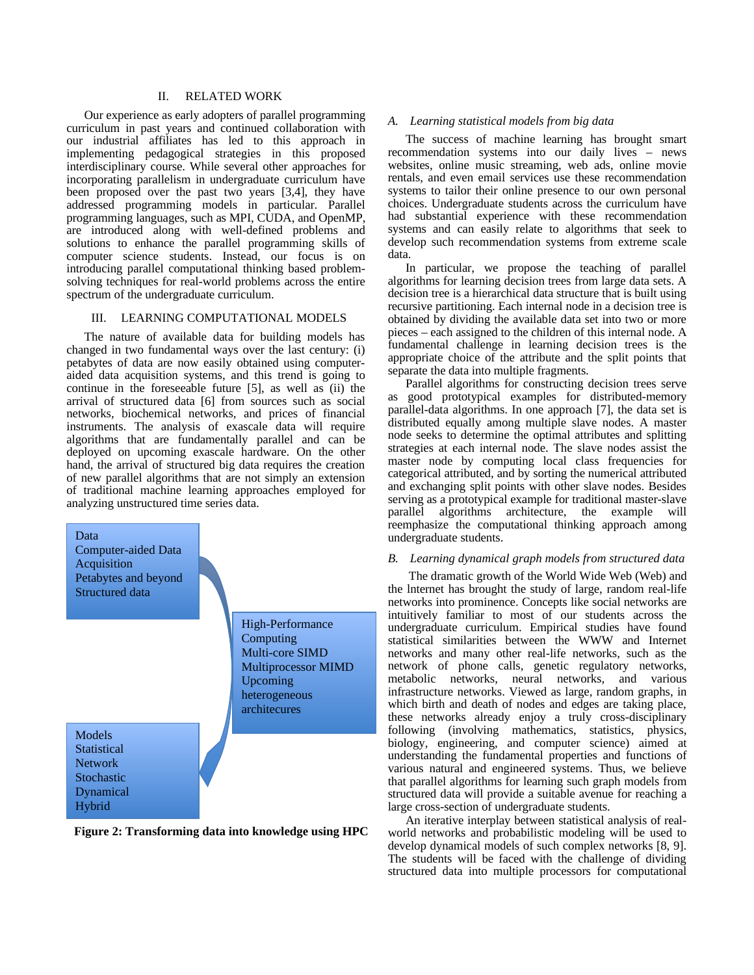## II. RELATED WORK

Our experience as early adopters of parallel programming curriculum in past years and continued collaboration with our industrial affiliates has led to this approach in implementing pedagogical strategies in this proposed interdisciplinary course. While several other approaches for incorporating parallelism in undergraduate curriculum have been proposed over the past two years [3,4], they have addressed programming models in particular. Parallel programming languages, such as MPI, CUDA, and OpenMP, are introduced along with well-defined problems and solutions to enhance the parallel programming skills of computer science students. Instead, our focus is on introducing parallel computational thinking based problemsolving techniques for real-world problems across the entire spectrum of the undergraduate curriculum.

## III. LEARNING COMPUTATIONAL MODELS

The nature of available data for building models has changed in two fundamental ways over the last century: (i) petabytes of data are now easily obtained using computeraided data acquisition systems, and this trend is going to continue in the foreseeable future [5], as well as (ii) the arrival of structured data [6] from sources such as social networks, biochemical networks, and prices of financial instruments. The analysis of exascale data will require algorithms that are fundamentally parallel and can be deployed on upcoming exascale hardware. On the other hand, the arrival of structured big data requires the creation of new parallel algorithms that are not simply an extension of traditional machine learning approaches employed for analyzing unstructured time series data.



**Figure 2: Transforming data into knowledge using HPC**

## *A. Learning statistical models from big data*

The success of machine learning has brought smart recommendation systems into our daily lives – news websites, online music streaming, web ads, online movie rentals, and even email services use these recommendation systems to tailor their online presence to our own personal choices. Undergraduate students across the curriculum have had substantial experience with these recommendation systems and can easily relate to algorithms that seek to develop such recommendation systems from extreme scale data.

In particular, we propose the teaching of parallel algorithms for learning decision trees from large data sets. A decision tree is a hierarchical data structure that is built using recursive partitioning. Each internal node in a decision tree is obtained by dividing the available data set into two or more pieces – each assigned to the children of this internal node. A fundamental challenge in learning decision trees is the appropriate choice of the attribute and the split points that separate the data into multiple fragments.

Parallel algorithms for constructing decision trees serve as good prototypical examples for distributed-memory parallel-data algorithms. In one approach [7], the data set is distributed equally among multiple slave nodes. A master node seeks to determine the optimal attributes and splitting strategies at each internal node. The slave nodes assist the master node by computing local class frequencies for categorical attributed, and by sorting the numerical attributed and exchanging split points with other slave nodes. Besides serving as a prototypical example for traditional master-slave parallel algorithms architecture, the example will reemphasize the computational thinking approach among undergraduate students.

#### *B. Learning dynamical graph models from structured data*

The dramatic growth of the World Wide Web (Web) and the lnternet has brought the study of large, random real-life networks into prominence. Concepts like social networks are intuitively familiar to most of our students across the undergraduate curriculum. Empirical studies have found statistical similarities between the WWW and Internet networks and many other real-life networks, such as the network of phone calls, genetic regulatory networks, metabolic networks, neural networks, and various infrastructure networks. Viewed as large, random graphs, in which birth and death of nodes and edges are taking place, these networks already enjoy a truly cross-disciplinary following (involving mathematics, statistics, physics, biology, engineering, and computer science) aimed at understanding the fundamental properties and functions of various natural and engineered systems. Thus, we believe that parallel algorithms for learning such graph models from structured data will provide a suitable avenue for reaching a large cross-section of undergraduate students.

An iterative interplay between statistical analysis of realworld networks and probabilistic modeling will be used to develop dynamical models of such complex networks [8, 9]. The students will be faced with the challenge of dividing structured data into multiple processors for computational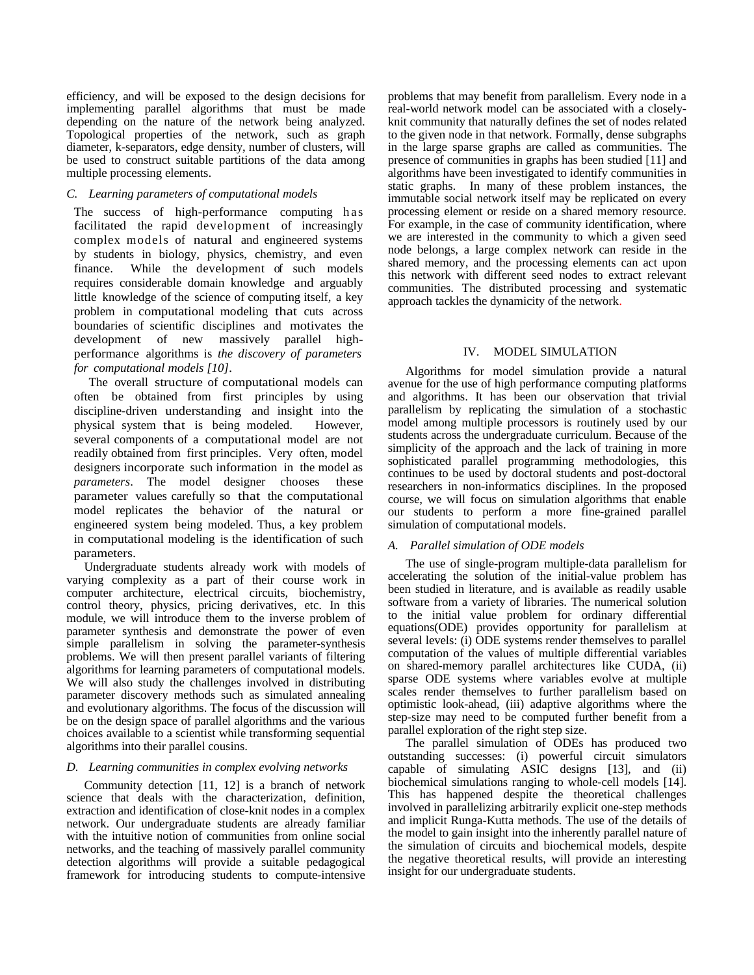efficiency, and will be exposed to the design decisions for implementing parallel algorithms that must be made depending on the nature of the network being analyzed. Topological properties of the network, such as graph diameter, k-separators, edge density, number of clusters, will be used to construct suitable partitions of the data among multiple processing elements.

## *C. Learning parameters of computational models*

The success of high-performance computing has facilitated the rapid development of increasingly complex models of natural and engineered systems by students in biology, physics, chemistry, and even finance. While the development of such models requires considerable domain knowledge and arguably little knowledge of the science of computing itself, a key problem in computational modeling that cuts across boundaries of scientific disciplines and motivates the development of new massively parallel highperformance algorithms is *the discovery of parameters for computational models [10]*.

The overall structure of computational models can often be obtained from first principles by using discipline-driven understanding and insight into the physical system that is being modeled. However, several components of a computational model are not readily obtained from first principles. Very often, model designers incorporate such information in the model as *parameters*. The model designer chooses these parameter values carefully so that the computational model replicates the behavior of the natural or engineered system being modeled. Thus, a key problem in computational modeling is the identification of such parameters.

Undergraduate students already work with models of varying complexity as a part of their course work in computer architecture, electrical circuits, biochemistry, control theory, physics, pricing derivatives, etc. In this module, we will introduce them to the inverse problem of parameter synthesis and demonstrate the power of even simple parallelism in solving the parameter-synthesis problems. We will then present parallel variants of filtering algorithms for learning parameters of computational models. We will also study the challenges involved in distributing parameter discovery methods such as simulated annealing and evolutionary algorithms. The focus of the discussion will be on the design space of parallel algorithms and the various choices available to a scientist while transforming sequential algorithms into their parallel cousins.

## *D. Learning communities in complex evolving networks*

Community detection [11, 12] is a branch of network science that deals with the characterization, definition, extraction and identification of close-knit nodes in a complex network. Our undergraduate students are already familiar with the intuitive notion of communities from online social networks, and the teaching of massively parallel community detection algorithms will provide a suitable pedagogical framework for introducing students to compute-intensive problems that may benefit from parallelism. Every node in a real-world network model can be associated with a closelyknit community that naturally defines the set of nodes related to the given node in that network. Formally, dense subgraphs in the large sparse graphs are called as communities. The presence of communities in graphs has been studied [11] and algorithms have been investigated to identify communities in static graphs. In many of these problem instances, the immutable social network itself may be replicated on every processing element or reside on a shared memory resource. For example, in the case of community identification, where we are interested in the community to which a given seed node belongs, a large complex network can reside in the shared memory, and the processing elements can act upon this network with different seed nodes to extract relevant communities. The distributed processing and systematic approach tackles the dynamicity of the network.

# IV. MODEL SIMULATION

Algorithms for model simulation provide a natural avenue for the use of high performance computing platforms and algorithms. It has been our observation that trivial parallelism by replicating the simulation of a stochastic model among multiple processors is routinely used by our students across the undergraduate curriculum. Because of the simplicity of the approach and the lack of training in more sophisticated parallel programming methodologies, this continues to be used by doctoral students and post-doctoral researchers in non-informatics disciplines. In the proposed course, we will focus on simulation algorithms that enable our students to perform a more fine-grained parallel simulation of computational models.

## *A. Parallel simulation of ODE models*

The use of single-program multiple-data parallelism for accelerating the solution of the initial-value problem has been studied in literature, and is available as readily usable software from a variety of libraries. The numerical solution to the initial value problem for ordinary differential equations(ODE) provides opportunity for parallelism at several levels: (i) ODE systems render themselves to parallel computation of the values of multiple differential variables on shared-memory parallel architectures like CUDA, (ii) sparse ODE systems where variables evolve at multiple scales render themselves to further parallelism based on optimistic look-ahead, (iii) adaptive algorithms where the step-size may need to be computed further benefit from a parallel exploration of the right step size.

The parallel simulation of ODEs has produced two outstanding successes: (i) powerful circuit simulators capable of simulating ASIC designs [13], and (ii) biochemical simulations ranging to whole-cell models [14]. This has happened despite the theoretical challenges involved in parallelizing arbitrarily explicit one-step methods and implicit Runga-Kutta methods. The use of the details of the model to gain insight into the inherently parallel nature of the simulation of circuits and biochemical models, despite the negative theoretical results, will provide an interesting insight for our undergraduate students.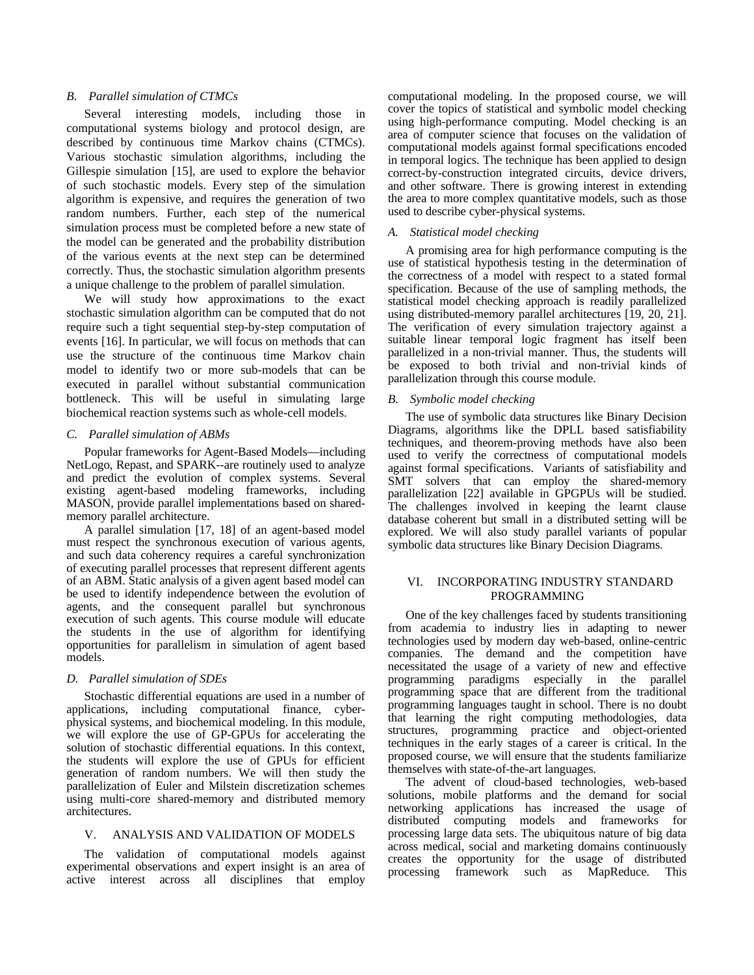## *B. Parallel simulation of CTMCs*

Several interesting models, including those in computational systems biology and protocol design, are described by continuous time Markov chains (CTMCs). Various stochastic simulation algorithms, including the Gillespie simulation [15], are used to explore the behavior of such stochastic models. Every step of the simulation algorithm is expensive, and requires the generation of two random numbers. Further, each step of the numerical simulation process must be completed before a new state of the model can be generated and the probability distribution of the various events at the next step can be determined correctly. Thus, the stochastic simulation algorithm presents a unique challenge to the problem of parallel simulation.

We will study how approximations to the exact stochastic simulation algorithm can be computed that do not require such a tight sequential step-by-step computation of events [16]. In particular, we will focus on methods that can use the structure of the continuous time Markov chain model to identify two or more sub-models that can be executed in parallel without substantial communication bottleneck. This will be useful in simulating large biochemical reaction systems such as whole-cell models.

#### *C. Parallel simulation of ABMs*

Popular frameworks for Agent-Based Models—including NetLogo, Repast, and SPARK--are routinely used to analyze and predict the evolution of complex systems. Several existing agent-based modeling frameworks, including MASON, provide parallel implementations based on sharedmemory parallel architecture.

A parallel simulation [17, 18] of an agent-based model must respect the synchronous execution of various agents, and such data coherency requires a careful synchronization of executing parallel processes that represent different agents of an ABM. Static analysis of a given agent based model can be used to identify independence between the evolution of agents, and the consequent parallel but synchronous execution of such agents. This course module will educate the students in the use of algorithm for identifying opportunities for parallelism in simulation of agent based models.

#### *D. Parallel simulation of SDEs*

Stochastic differential equations are used in a number of applications, including computational finance, cyberphysical systems, and biochemical modeling. In this module, we will explore the use of GP-GPUs for accelerating the solution of stochastic differential equations. In this context, the students will explore the use of GPUs for efficient generation of random numbers. We will then study the parallelization of Euler and Milstein discretization schemes using multi-core shared-memory and distributed memory architectures.

#### V. ANALYSIS AND VALIDATION OF MODELS

The validation of computational models against experimental observations and expert insight is an area of active interest across all disciplines that employ computational modeling. In the proposed course, we will cover the topics of statistical and symbolic model checking using high-performance computing. Model checking is an area of computer science that focuses on the validation of computational models against formal specifications encoded in temporal logics. The technique has been applied to design correct-by-construction integrated circuits, device drivers, and other software. There is growing interest in extending the area to more complex quantitative models, such as those used to describe cyber-physical systems.

#### *A. Statistical model checking*

A promising area for high performance computing is the use of statistical hypothesis testing in the determination of the correctness of a model with respect to a stated formal specification. Because of the use of sampling methods, the statistical model checking approach is readily parallelized using distributed-memory parallel architectures [19, 20, 21]. The verification of every simulation trajectory against a suitable linear temporal logic fragment has itself been parallelized in a non-trivial manner. Thus, the students will be exposed to both trivial and non-trivial kinds of parallelization through this course module.

#### *B. Symbolic model checking*

The use of symbolic data structures like Binary Decision Diagrams, algorithms like the DPLL based satisfiability techniques, and theorem-proving methods have also been used to verify the correctness of computational models against formal specifications. Variants of satisfiability and SMT solvers that can employ the shared-memory parallelization [22] available in GPGPUs will be studied. The challenges involved in keeping the learnt clause database coherent but small in a distributed setting will be explored. We will also study parallel variants of popular symbolic data structures like Binary Decision Diagrams.

## VI. INCORPORATING INDUSTRY STANDARD PROGRAMMING

One of the key challenges faced by students transitioning from academia to industry lies in adapting to newer technologies used by modern day web-based, online-centric companies. The demand and the competition have necessitated the usage of a variety of new and effective programming paradigms especially in the parallel programming space that are different from the traditional programming languages taught in school. There is no doubt that learning the right computing methodologies, data structures, programming practice and object-oriented techniques in the early stages of a career is critical. In the proposed course, we will ensure that the students familiarize themselves with state-of-the-art languages.

The advent of cloud-based technologies, web-based solutions, mobile platforms and the demand for social networking applications has increased the usage of distributed computing models and frameworks for processing large data sets. The ubiquitous nature of big data across medical, social and marketing domains continuously creates the opportunity for the usage of distributed processing framework such as MapReduce. This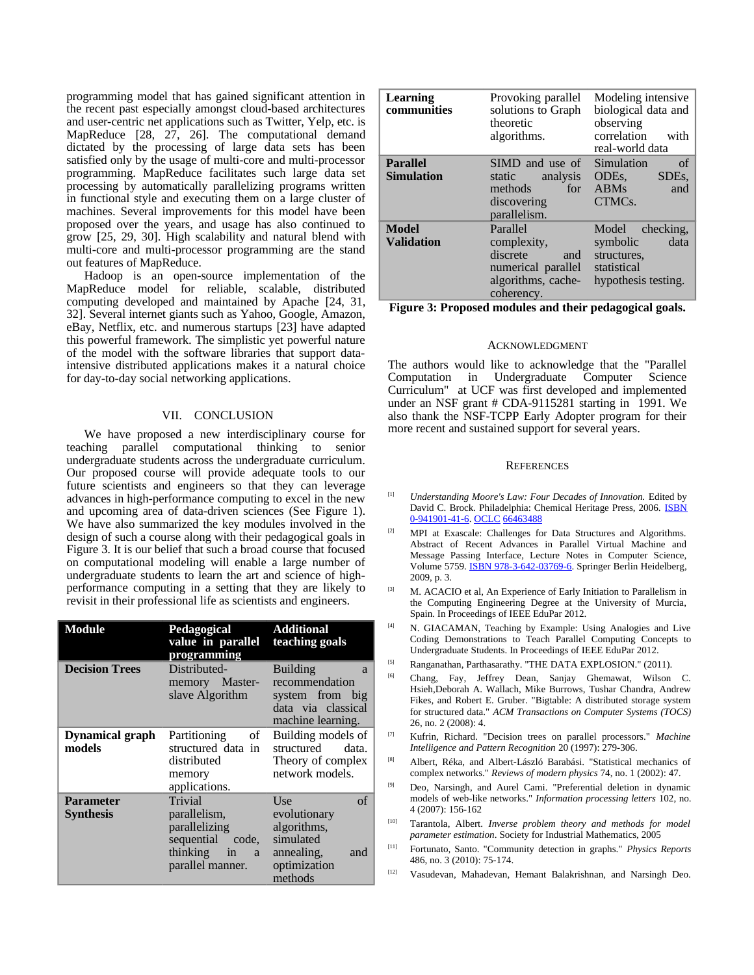programming model that has gained significant attention in the recent past especially amongst cloud-based architectures and user-centric net applications such as Twitter, Yelp, etc. is MapReduce [28, 27, 26]. The computational demand dictated by the processing of large data sets has been satisfied only by the usage of multi-core and multi-processor programming. MapReduce facilitates such large data set processing by automatically parallelizing programs written in functional style and executing them on a large cluster of machines. Several improvements for this model have been proposed over the years, and usage has also continued to grow [25, 29, 30]. High scalability and natural blend with multi-core and multi-processor programming are the stand out features of MapReduce.

Hadoop is an open-source implementation of the MapReduce model for reliable, scalable, distributed computing developed and maintained by Apache [24, 31, 32]. Several internet giants such as Yahoo, Google, Amazon, eBay, Netflix, etc. and numerous startups [23] have adapted this powerful framework. The simplistic yet powerful nature of the model with the software libraries that support dataintensive distributed applications makes it a natural choice for day-to-day social networking applications.

## VII. CONCLUSION

We have proposed a new interdisciplinary course for teaching parallel computational thinking to senior undergraduate students across the undergraduate curriculum. Our proposed course will provide adequate tools to our future scientists and engineers so that they can leverage advances in high-performance computing to excel in the new and upcoming area of data-driven sciences (See Figure 1). We have also summarized the key modules involved in the design of such a course along with their pedagogical goals in Figure 3. It is our belief that such a broad course that focused on computational modeling will enable a large number of undergraduate students to learn the art and science of highperformance computing in a setting that they are likely to revisit in their professional life as scientists and engineers.

| <b>Module</b>                    | Pedagogical<br>value in parallel<br>programming                                                         | <b>Additional</b><br>teaching goals                                                                   |
|----------------------------------|---------------------------------------------------------------------------------------------------------|-------------------------------------------------------------------------------------------------------|
| <b>Decision Trees</b>            | Distributed-<br>memory Master-<br>slave Algorithm                                                       | <b>Building</b><br>a<br>recommendation<br>system from big<br>data via classical<br>machine learning.  |
| <b>Dynamical graph</b><br>models | Partitioning<br>of<br>structured data in<br>distributed<br>memory<br>applications.                      | Building models of<br>structured<br>data.<br>Theory of complex<br>network models.                     |
| Parameter<br><b>Synthesis</b>    | Trivial<br>parallelism,<br>parallelizing<br>sequential<br>code,<br>thinking in<br>a<br>parallel manner. | of<br>Use<br>evolutionary<br>algorithms,<br>simulated<br>annealing,<br>and<br>optimization<br>methods |

| <b>Learning</b><br>communities       | Provoking parallel<br>solutions to Graph<br>theoretic<br>algorithms.                                 | Modeling intensive<br>biological data and<br>observing<br>correlation<br>with<br>real-world data   |
|--------------------------------------|------------------------------------------------------------------------------------------------------|----------------------------------------------------------------------------------------------------|
| <b>Parallel</b><br><b>Simulation</b> | SIMD and use of<br>analysis<br>static<br>methods<br>for<br>discovering<br>parallelism.               | $\alpha$ f<br>Simulation<br>ODEs,<br>SDE <sub>s</sub><br><b>ABMs</b><br>and<br>CTMC <sub>s</sub> . |
| Model<br><b>Validation</b>           | Parallel<br>complexity,<br>discrete<br>and<br>numerical parallel<br>algorithms, cache-<br>coherency. | checking,<br>Model<br>data<br>symbolic<br>structures,<br>statistical<br>hypothesis testing.        |

**Figure 3: Proposed modules and their pedagogical goals.**

#### ACKNOWLEDGMENT

The authors would like to acknowledge that the "Parallel Computation in Undergraduate Computer Science Curriculum" at UCF was first developed and implemented under an NSF grant # CDA-9115281 starting in 1991. We also thank the NSF-TCPP Early Adopter program for their more recent and sustained support for several years.

#### **REFERENCES**

- [1] *Understanding Moore's Law: Four Decades of Innovation.* Edited by David C. Brock. Philadelphia: Chemical Heritage Press, 2006. **ISBN** [0-941901-41-6.](http://en.wikipedia.org/wiki/Special:BookSources/0941901416) [OCLC](http://en.wikipedia.org/wiki/OCLC) [66463488](http://www.worldcat.org/oclc/66463488)
- [2] MPI at Exascale: Challenges for Data Structures and Algorithms. Abstract of Recent Advances in Parallel Virtual Machine and Message Passing Interface, Lecture Notes in Computer Science, Volume 5759. [ISBN 978-3-642-03769-6.](http://en.wikipedia.org/wiki/Special:BookSources/9783642037696) Springer Berlin Heidelberg, 2009, p. 3.
- [3] M. ACACIO et al, An Experience of Early Initiation to Parallelism in the Computing Engineering Degree at the University of Murcia, Spain. In Proceedings of IEEE EduPar 2012.
- [4] N. GIACAMAN, Teaching by Example: Using Analogies and Live Coding Demonstrations to Teach Parallel Computing Concepts to Undergraduate Students. In Proceedings of IEEE EduPar 2012.
- [5] Ranganathan, Parthasarathy. "THE DATA EXPLOSION." (2011).
- [6] Chang, Fay, Jeffrey Dean, Sanjay Ghemawat, Wilson C. Hsieh,Deborah A. Wallach, Mike Burrows, Tushar Chandra, Andrew Fikes, and Robert E. Gruber. "Bigtable: A distributed storage system for structured data." *ACM Transactions on Computer Systems (TOCS)* 26, no. 2 (2008): 4.
- [7] Kufrin, Richard. "Decision trees on parallel processors." *Machine Intelligence and Pattern Recognition* 20 (1997): 279-306.
- [8] Albert, Réka, and Albert-László Barabási. "Statistical mechanics of complex networks." *Reviews of modern physics* 74, no. 1 (2002): 47.
- [9] Deo, Narsingh, and Aurel Cami. "Preferential deletion in dynamic models of web-like networks." *Information processing letters* 102, no. 4 (2007): 156-162
- [10] Tarantola, Albert. *Inverse problem theory and methods for model parameter estimation*. Society for Industrial Mathematics, 2005
- [11] Fortunato, Santo. "Community detection in graphs." *Physics Reports* 486, no. 3 (2010): 75-174.
- [12] Vasudevan, Mahadevan, Hemant Balakrishnan, and Narsingh Deo.